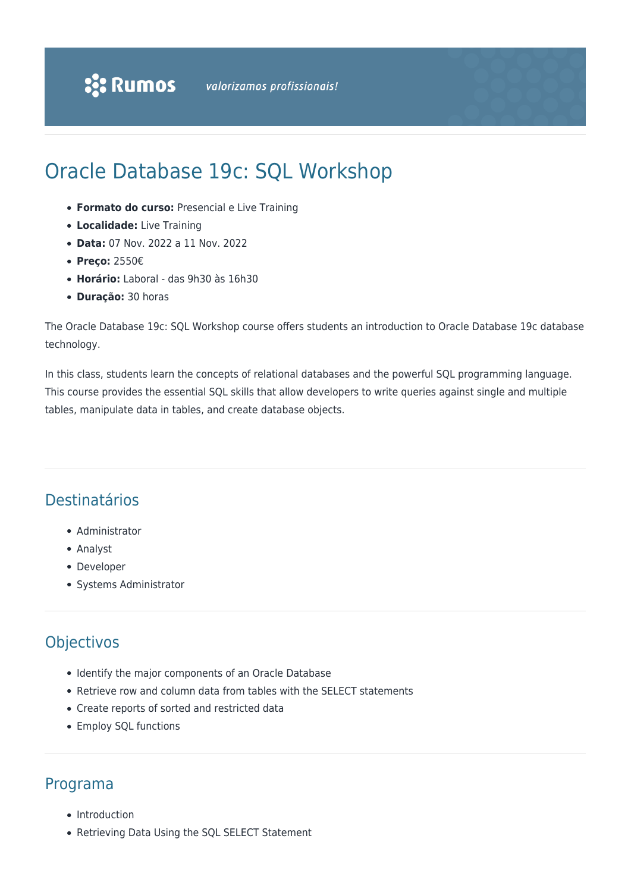## Oracle Database 19c: SQL Workshop

- **Formato do curso:** Presencial e Live Training
- **Localidade:** Live Training
- **Data:** 07 Nov. 2022 a 11 Nov. 2022
- **Preço:** 2550€
- **Horário:** Laboral das 9h30 às 16h30
- **Duração:** 30 horas

The Oracle Database 19c: SQL Workshop course offers students an introduction to Oracle Database 19c database technology.

In this class, students learn the concepts of relational databases and the powerful SQL programming language. This course provides the essential SQL skills that allow developers to write queries against single and multiple tables, manipulate data in tables, and create database objects.

## Destinatários

- Administrator
- Analyst
- Developer
- Systems Administrator

## **Objectivos**

- Identify the major components of an Oracle Database
- Retrieve row and column data from tables with the SELECT statements
- Create reports of sorted and restricted data
- Employ SQL functions

## Programa

- Introduction
- Retrieving Data Using the SQL SELECT Statement